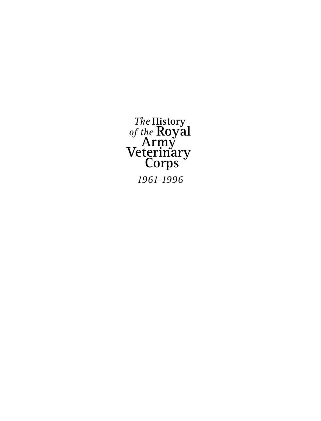*The* **History** *of the* **Royal Army Veterinary Corps** *1961-1996*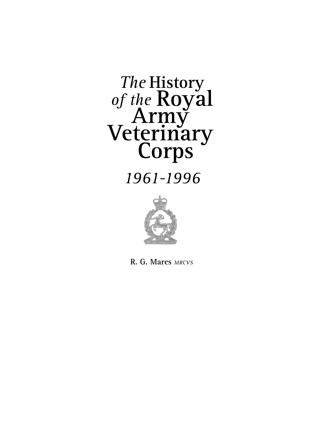# *The* **History** of the **Royal<br>Army<br>Veterinary<br>Corps**

# *1961-1996*



**R. G. Mares** *mrcvs*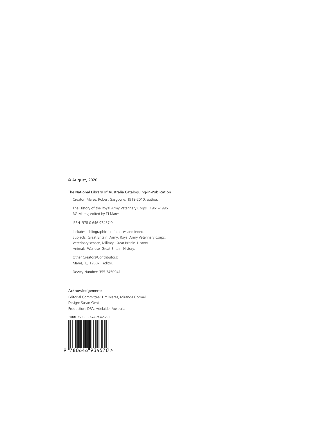#### © August, 2020

#### The National Library of Australia Cataloguing-in-Publication

Creator: Mares, Robert Gasgoyne, 1918-2010, author.

The History of the Royal Army Veterinary Corps : 1961–1996 RG Mares; edited by TJ Mares.

ISBN 978 0 646 93457 0

Includes bibliographical references and index. Subjects: Great Britain. Army. Royal Army Veterinary Corps. Veterinary service, Military–Great Britain–History. Animals–War use–Great Britain–History.

Other Creators/Contributors: Mares, TJ, 1960- editor.

Dewey Number: 355.3450941

#### Acknowledgements

Editorial Committee: Tim Mares, Miranda Cormell Design: Susan Gent Production: DPA, Adelaide, Australia

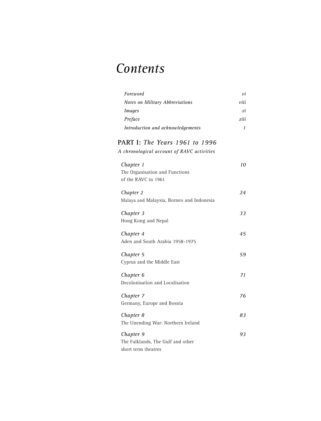# *Contents*

| Foreword                                                                     | νi   |
|------------------------------------------------------------------------------|------|
| Notes on Military Abbreviations                                              | viii |
| <b>Images</b>                                                                | хi   |
| Preface                                                                      | xiii |
| Introduction and acknowledgements                                            | 1    |
| PART I: The Years 1961 to 1996<br>A chronological account of RAVC activities |      |
| Chapter 1<br>The Organisation and Functions<br>of the RAVC in 1961           | 10   |
| Chapter 2<br>Malaya and Malaysia, Borneo and Indonesia                       | 24   |
| Chapter 3<br>Hong Kong and Nepal                                             | 33   |
| Chapter 4<br>Aden and South Arabia 1958-1975                                 | 45   |
| Chapter 5<br>Cyprus and the Middle East                                      | 59   |
| Chapter 6<br>Decolonisation and Localisation                                 | 71   |
| Chapter 7<br>Germany, Europe and Bosnia                                      | 76   |
| Chapter 8<br>The Unending War: Northern Ireland                              | 83   |
| Chapter 9<br>The Falklands, The Gulf and other<br>short term theatres        | 93   |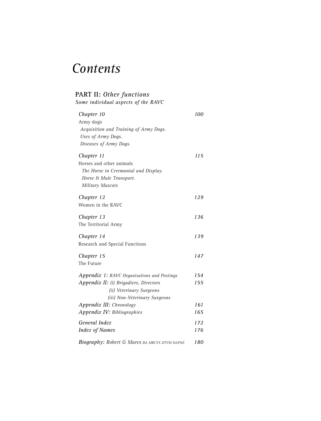# *Contents*

### **PART II:** *Other functions*

*Some individual aspects of the RAVC*

| Chapter 10                                               | 100 |
|----------------------------------------------------------|-----|
| Army dogs                                                |     |
| Acquisition and Training of Army Dogs.                   |     |
| Uses of Army Dogs.                                       |     |
| Diseases of Army Dogs.                                   |     |
| Chapter 11                                               | 115 |
| Horses and other animals                                 |     |
| The Horse in Ceremonial and Display.                     |     |
| Horse & Mule Transport.                                  |     |
| <b>Military Mascots</b>                                  |     |
| Chapter 12                                               | 129 |
| Women in the RAVC                                        |     |
| Chapter 13                                               | 136 |
| The Territorial Army                                     |     |
| Chapter 14                                               | 139 |
| Research and Special Functions                           |     |
| Chapter 15                                               | 147 |
| The Future                                               |     |
| Appendix 1: RAVC Organisations and Postings              | 154 |
| Appendix II: (i) Brigadiers, Directors                   | 155 |
| (ii) Veterinary Surgeons                                 |     |
| (iii) Non-Veterinary Surgeons                            |     |
| Appendix III: Chronology                                 | 161 |
| Appendix IV: Bibliographies                              | 165 |
| General Index                                            | 172 |
| <b>Index of Names</b>                                    | 176 |
| <b>Biography: Robert G Mares BA MRCVS DTVM DAP&amp;E</b> | 180 |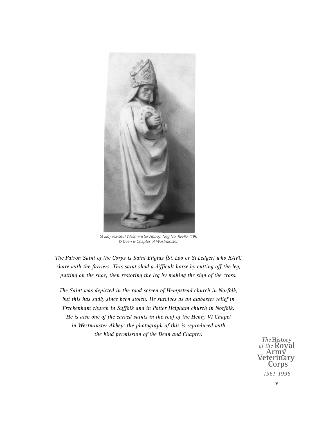

*St Eloy (ex-situ) Westminster Abbey. Neg No. RPHG 1196 © Dean & Chapter of Westminster.* 

*The Patron Saint of the Corps is Saint Eligius (St. Loo or St Ledger) who RAVC share with the farriers. This saint shod a difficult horse by cutting off the leg, putting on the shoe, then restoring the leg by making the sign of the cross.* 

*The Saint was depicted in the rood screen of Hempstead church in Norfolk, but this has sadly since been stolen. He survives as an alabaster relief in Freckenham church in Suffolk and in Potter Heigham church in Norfolk. He is also one of the carved saints in the roof of the Henry VI Chapel in Westminster Abbey: the photograph of this is reproduced with the kind permission of the Dean and Chapter.*

**The History**<br>of the **Royal** *of the* **Royal Army Veterinary Corps** *1961–1996*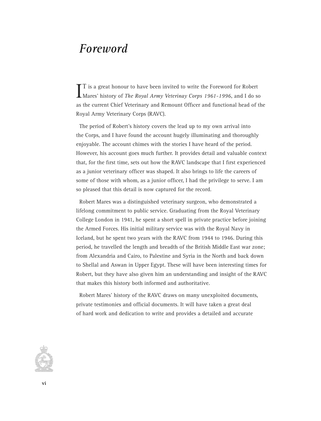## *Foreword*

I is a great honour to have been invited to write the Foreword for Robert<br>Mares' history of *The Royal Army Veterinay Corps 1961-1996*, and I do so T is a great honour to have been invited to write the Foreword for Robert as the current Chief Veterinary and Remount Officer and functional head of the Royal Army Veterinary Corps (RAVC).

The period of Robert's history covers the lead up to my own arrival into the Corps, and I have found the account hugely illuminating and thoroughly enjoyable. The account chimes with the stories I have heard of the period. However, his account goes much further. It provides detail and valuable context that, for the first time, sets out how the RAVC landscape that I first experienced as a junior veterinary officer was shaped. It also brings to life the careers of some of those with whom, as a junior officer, I had the privilege to serve. I am so pleased that this detail is now captured for the record.

Robert Mares was a distinguished veterinary surgeon, who demonstrated a lifelong commitment to public service. Graduating from the Royal Veterinary College London in 1941, he spent a short spell in private practice before joining the Armed Forces. His initial military service was with the Royal Navy in Iceland, but he spent two years with the RAVC from 1944 to 1946. During this period, he travelled the length and breadth of the British Middle East war zone; from Alexandria and Cairo, to Palestine and Syria in the North and back down to Shellal and Aswan in Upper Egypt. These will have been interesting times for Robert, but they have also given him an understanding and insight of the RAVC that makes this history both informed and authoritative.

Robert Mares' history of the RAVC draws on many unexploited documents, private testimonies and official documents. It will have taken a great deal of hard work and dedication to write and provides a detailed and accurate

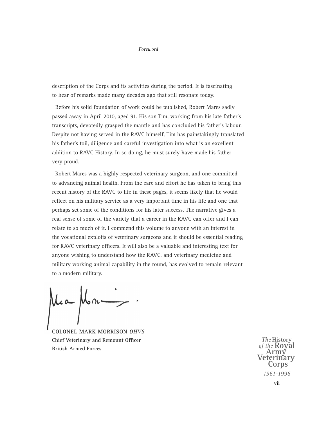#### *Foreword*

description of the Corps and its activities during the period. It is fascinating to hear of remarks made many decades ago that still resonate today.

Before his solid foundation of work could be published, Robert Mares sadly passed away in April 2010, aged 91. His son Tim, working from his late father's transcripts, devotedly grasped the mantle and has concluded his father's labour. Despite not having served in the RAVC himself, Tim has painstakingly translated his father's toil, diligence and careful investigation into what is an excellent addition to RAVC History. In so doing, he must surely have made his father very proud.

Robert Mares was a highly respected veterinary surgeon, and one committed to advancing animal health. From the care and effort he has taken to bring this recent history of the RAVC to life in these pages, it seems likely that he would reflect on his military service as a very important time in his life and one that perhaps set some of the conditions for his later success. The narrative gives a real sense of some of the variety that a career in the RAVC can offer and I can relate to so much of it. I commend this volume to anyone with an interest in the vocational exploits of veterinary surgeons and it should be essential reading for RAVC veterinary officers. It will also be a valuable and interesting text for anyone wishing to understand how the RAVC, and veterinary medicine and military working animal capability in the round, has evolved to remain relevant to a modern military.

Mm.

**COLONEL MARK MORRISON** *QHVS* **Chief Veterinary and Remount Officer British Armed Forces**

*The* **History** *of the* **Royal Army Veterinary Corps** *1961–1996*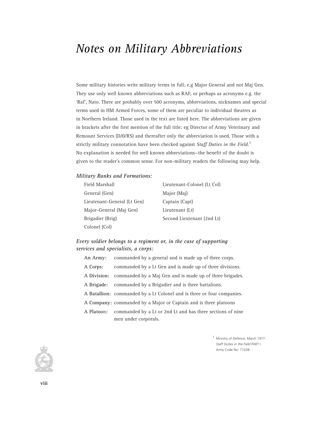## *Notes on Military Abbreviations*

Some military histories write military terms in full; e.g Major General and not Maj Gen. They use only well known abbreviations such as RAF, or perhaps as acronyms e.g. the 'Raf', Nato. There are probably over 500 acronyms, abbreviations, nicknames and special terms used in HM Armed Forces, some of them are peculiar to individual theatres as in Northern Ireland. Those used in the text are listed here. The abbreviations are given in brackets after the first mention of the full title: eg Director of Army Veterinary and Remount Services (DAVRS) and thereafter only the abbreviation is used. Those with a strictly military connotation have been checked against *Staff Duties in the Field*. 1 No explanation is needed for well known abbreviations—the benefit of the doubt is given to the reader's common sense. For non-military readers the following may help.

#### *Military Ranks and Formations:*

| Field Marshall              | Lieutenant-Colonel (Lt Col) |
|-----------------------------|-----------------------------|
| General (Gen)               | Major (Maj)                 |
| Lieutenant-General (Lt Gen) | Captain (Capt)              |
| Major-General (Maj Gen)     | Lieutenant (Lt)             |
| Brigadier (Brig)            | Second Lieutenant (2nd Lt)  |
| Colonel (Col)               |                             |

#### *Every soldier belongs to a regiment or, in the case of supporting services and specialists, a corps:*

| An Army:   | commanded by a general and is made up of three corps.                  |
|------------|------------------------------------------------------------------------|
| A Corps:   | commanded by a Lt Gen and is made up of three divisions.               |
|            | A Division: commanded by a Maj Gen and is made up of three brigades.   |
|            | A Brigade: commanded by a Brigadier and is three battalions.           |
|            | A Batallion: commanded by a Lt Colonel and is three or four companies. |
|            | A Company: commanded by a Major or Captain and is three platoons       |
| A Platoon: | commanded by a Lt or 2nd Lt and has three sections of nine             |
|            | men under corporals.                                                   |

1 Ministry of Defence, March 1977. *Staff Duties in the Field* PART I. Army Code No: 71038.

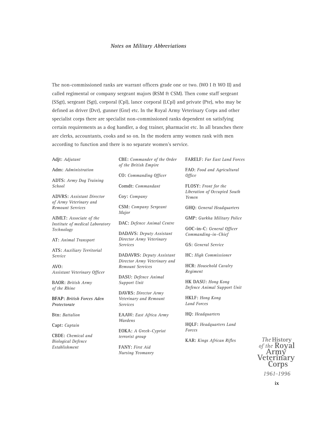#### *Notes on Military Abbreviations*

The non-commissioned ranks are warrant officers grade one or two. (WO I & WO II) and called regimental or company sergeant majors (RSM & CSM). Then come staff sergeant (SSgt), sergeant (Sgt), corporal (Cpl), lance corporal (LCpl) and private (Pte), who may be defined as driver (Dvr), gunner (Gnr) etc. In the Royal Army Veterinary Corps and other specialist corps there are specialist non-commissioned ranks dependent on satisfying certain requirements as a dog handler, a dog trainer, pharmacist etc. In all branches there are clerks, accountants, cooks and so on. In the modern army women rank with men according to function and there is no separate women's service.

#### **Adjt:** *Adjutant*

**Adm:** *Administration*

**ADTS:** *Army Dog Training School*

**ADVRS:** *Assistant Director of Army Veterinary and Remount Services*

**AIMLT:** *Associate of the Institute of medical Laboratory Technology*

**AT:** *Animal Transport*

**ATS:** *Auxiliary Territorial Service*

**AVO:**  *Assistant Veterinary Officer*

**BAOR:** *British Army of the Rhine*

**BFAP:** *British Forces Aden Protectorate*

**Btn:** *Battalion*

**Capt:** *Captain* 

**CBDE:** *Chemical and Biological Defence Establishment*

**CBE:** *Commander of the Order of the British Empire*

**CO:** *Commanding Officer* **Comdt:** *Commandant*

**Coy:** *Company*

**CSM:** *Company Sergeant Major*

**DAC:** *Defence Animal Centre*

**DADAVS:** *Deputy Assistant Director Army Veterinary Services*

**DADAVRS:** *Deputy Assistant Director Army Veterinary and Remount Services*

**DASU:** *Defence Animal Support Unit*

**DAVRS:** *Director Army Veterinary and Remount Services*

**EAAW:** *East Africa Army Wardens*

**EOKA:** *A Greek–Cypriot terrorist group*

**FANY:** *First Aid Nursing Yeomanry* **FARELF:** *Far East Land Forces*

**FAO:** *Food and Agricultural Office* 

**FLOSY:** *Front for the Liberation of Occupied South Yemen*

**GHQ:** *General Headquarters*

**GMP:** *Gurkha Military Police*

**GOC-in-C:** *General Officer Commanding–in–Chief*

**GS:** *General Service*

**HC:** *High Commissioner*

**HCR:** *Household Cavalry Regiment*

**HK DASU:** *Hong Kong Defence Animal Support Unit*

**HKLF:** *Hong Kong Land Forces*

**HQ:** *Headquarters*

**HQLF:** *Headquarters Land Forces*

**KAR:** *Kings African Rifles*

*The* History<br>*of the* **Royal** *of the* **Royal Army Veterinary Corps** *1961–1996*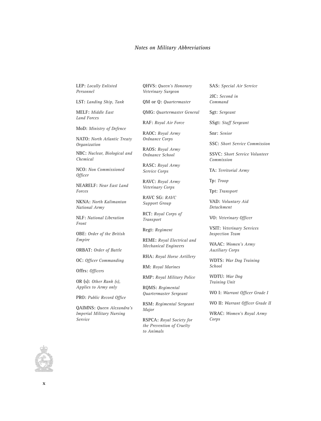#### *Notes on Military Abbreviations*

**LEP:** *Locally Enlisted Personnel*

**LST:** *Landing Ship, Tank*

**MELF:** *Middle East Land Forces*

**MoD:** *Ministry of Defence*

**NATO:** *North Atlantic Treaty Organization* 

**NBC:** *Nuclear, Biological and Chemical*

**NCO:** *Non Commissioned Officer*

**NEARELF:** *Near East Land Forces*

**NKNA:** *North Kalimantan National Army*

**NLF:** *National Liberation Front* 

**OBE:** *Order of the British Empire*

**ORBAT:** *Order of Battle*

**OC:** *Officer Commanding*

**Offrs:** *Officers* 

**OR (s):** *Other Rank (s), Applies to Army only*

**PRO:** *Public Record Office* 

**QAIMNS:** *Queen Alexandra's Imperial Military Nursing Service* 

**QHVS:** *Queen's Honorary Veterinary Surgeon*

**QM or Q:** *Quartermaster* 

**QMG:** *Quartermaster General*

**RAF:** *Royal Air Force*

**RAOC:** *Royal Army Ordnance Corps*

**RAOS:** *Royal Army Ordnance School*

**RASC:** *Royal Army Service Corps*

**RAVC:** *Royal Army Veterinary Corps*

**RAVC SG:** *RAVC Support Group*

**RCT:** *Royal Corps of Transport*

**Regt:** *Regiment*

**REME:** *Royal Electrical and Mechanical Engineers*

**RHA:** *Royal Horse Artillery*

**RM:** *Royal Marines*

**RMP:** *Royal Military Police*

**RQMS:** *Regimental Quartermaster Sergeant*

**RSM:** *Regimental Sergeant Major*

**RSPCA:** *Royal Society for the Prevention of Cruelty to Animals*

**SAS:** *Special Air Service*

**2IC:** *Second in Command*

**Sgt:** *Sergeant*

**SSgt:** *Staff Sergeant* 

**Snr:** *Senior*

**SSC:** *Short Service Commission*

**SSVC:** *Short Service Volunteer Commission*

**TA:** *Territorial Army*

**Tp:** *Troop*

**Tpt:** *Transport*

**VAD:** *Voluntary Aid Detachment* 

**VO:** *Veterinary Officer*

**VSIT:** *Veterinary Services Inspection Team*

**WAAC:** *Women's Army Auxiliary Corps*

**WDTS:** *War Dog Training School* 

**WDTU:** *War Dog Training Unit* 

**WO I:** *Warrant Officer Grade I*

**WO II:** *Warrant Officer Grade II*

**WRAC:** *Women's Royal Army Corps*

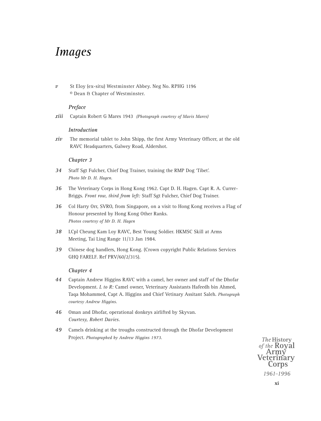## *Images*

*v* St Eloy (ex-situ) Westminster Abbey. Neg No. RPHG 1196 © Dean & Chapter of Westminster.

#### *Preface*

*xiii* Captain Robert G Mares 1943 *(Photograph courtesy of Mavis Mares)*

#### *Introduction*

*xiv* The memorial tablet to John Shipp, the first Army Veterinary Officer, at the old RAVC Headquarters, Galwey Road, Aldershot.

#### *Chapter 3*

- *34* Staff Sgt Fulcher, Chief Dog Trainer, training the RMP Dog 'Tibet'. *Photo Mr D. H. Hagen.*
- *36* The Veterinary Corps in Hong Kong 1962. Capt D. H. Hagen. Capt R. A. Currer-Briggs. *Front row, third from left:* Staff Sgt Fulcher, Chief Dog Trainer.
- *36* Col Harry Orr, SVRO, from Singapore, on a visit to Hong Kong receives a Flag of Honour presented by Hong Kong Other Ranks. *Photos courtesy of Mr D. H. Hagen*
- *38* LCpl Cheung Kam Loy RAVC, Best Young Soldier. HKMSC Skill at Arms Meeting, Tai Ling Range 11/13 Jan 1984.
- *39* Chinese dog handlers, Hong Kong. (Crown copyright Public Relations Services GHQ FARELF. Ref PRV/60/2/315).

#### *Chapter 4*

- *44* Captain Andrew Higgins RAVC with a camel, her owner and staff of the Dhofar Development. *L to R:* Camel owner, Veterinary Assistants Hafeedh bin Ahmed, Taqa Mohammed, Capt A. Higgins and Chief Vetinary Assitant Saleh. *Photograph courtesy Andrew Higgins.*
- *46* Oman and Dhofar, operational donkeys airlifted by Skyvan. *Courtesy, Robert Davies.*
- *49* Camels drinking at the troughs constructed through the Dhofar Development Project. *Photographed by Andrew Higgins 1973.*

*The* History<br>*of the* **Royal** *of the* **Royal Army Veterinary Corps** *1961–1996*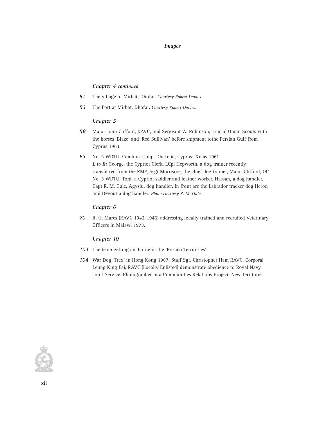#### *Images*

#### *Chapter 4 continued*

- *51* The village of Mirbat, Dhofar. *Courtesy Robert Davies.*
- *53* The Fort at Mirbat, Dhofar. *Courtesy Robert Davies.*

#### *Chapter 5*

- *58* Major John Clifford, RAVC, and Sergeant W. Robinson, Trucial Oman Scouts with the horses 'Blaze' and 'Red Sullivan' before shipment tothe Persian Gulf from Cyprus 1963.
- *63* No. 3 WDTU, Cambrai Camp, Dhekelia, Cyprus: Xmas 1961 *L to R:* George, the Cypriot Clerk, LCpl Hepworth, a dog trainer recently transferred from the RMP, Ssgt Morrisroe, the chief dog trainer, Major Clifford, OC No. 3 WDTU, Toni, a Cypriot saddler and leather worker, Hassan, a dog handler, Capt R. M. Gale, Agysiu, dog handler. In front are the Labrador tracker dog Heron and Devout a dog handler. *Photo courtesy R. M. Gale.*

#### *Chapter 6*

*70* R. G. Mares (RAVC 1942-1946) addressing locally trained and recruited Veterinary Officers in Malawi 1973.

#### *Chapter 10*

- *104* The team getting air-borne in the 'Borneo Territories'
- *104* War Dog 'Trex' in Hong Kong 1987: Staff Sgt. Christopher Ham RAVC, Corporal Leung King Fai, RAVC (Locally Enlisted) demonstrate obedience to Royal Navy Joint Service. Photographer in a Communities Relations Project, New Territories.

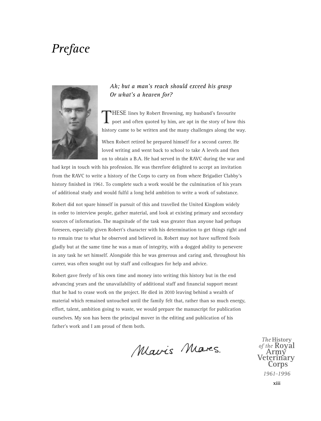## *Preface*



#### *Ah; but a man's reach should exceed his grasp Or what's a heaven for?*

THESE lines by Robert Browning, my husband's favourite poet and often quoted by him, are apt in the story of how this history came to be written and the many challenges along the way.

When Robert retired he prepared himself for a second career. He loved writing and went back to school to take A levels and then on to obtain a B.A. He had served in the RAVC during the war and

had kept in touch with his profession. He was therefore delighted to accept an invitation from the RAVC to write a history of the Corps to carry on from where Brigadier Clabby's history finished in 1961. To complete such a work would be the culmination of his years of additional study and would fulfil a long held ambition to write a work of substance.

Robert did not spare himself in pursuit of this and travelled the United Kingdom widely in order to interview people, gather material, and look at existing primary and secondary sources of information. The magnitude of the task was greater than anyone had perhaps foreseen, especially given Robert's character with his determination to get things right and to remain true to what he observed and believed in. Robert may not have suffered fools gladly but at the same time he was a man of integrity, with a dogged ability to persevere in any task he set himself. Alongside this he was generous and caring and, throughout his career, was often sought out by staff and colleagues for help and advice.

Robert gave freely of his own time and money into writing this history but in the end advancing years and the unavailability of additional staff and financial support meant that he had to cease work on the project. He died in 2010 leaving behind a wealth of material which remained untouched until the family felt that, rather than so much energy, effort, talent, ambition going to waste, we would prepare the manuscript for publication ourselves. My son has been the principal mover in the editing and publication of his father's work and I am proud of them both.

Mavis Mares.

*The* **History** of the **Royal** *of the* **Royal Army Veterinary Corps** *1961–1996*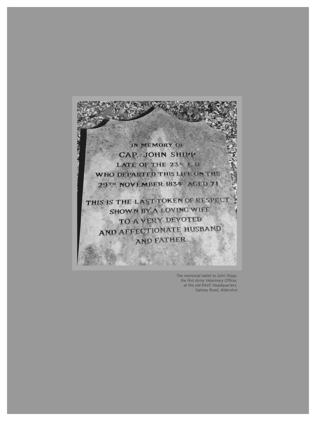

*The memorial tablet to John Shipp, the first Army Veterinary Officer, at the old RAVC Headquarters, Galwey Road, Aldershot*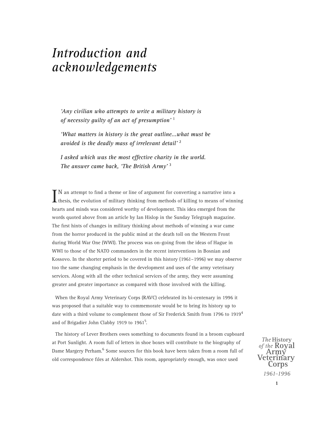*'Any civilian who attempts to write a military history is of necessity guilty of an act of presumption'* <sup>1</sup>

*'What matters in history is the great outline...what must be avoided is the deadly mass of irrelevant detail'* <sup>2</sup>

*I asked which was the most effective charity in the world. The answer came back, 'The British Army'* <sup>3</sup>

 $\prod N$  an attempt to find a theme or line of argument for converting a narrative into a thesis, the evolution of military thinking from methods of killing to means of winning N an attempt to find a theme or line of argument for converting a narrative into a hearts and minds was considered worthy of development. This idea emerged from the words quoted above from an article by Ian Hislop in the Sunday Telegraph magazine. The first hints of changes in military thinking about methods of winning a war came from the horror produced in the public mind at the death toll on the Western Front during World War One (WWI). The process was on-going from the ideas of Hague in WWI to those of the NATO commanders in the recent interventions in Bosnian and Kossovo. In the shorter period to be covered in this history (1961–1996) we may observe too the same changing emphasis in the development and uses of the army veterinary services. Along with all the other technical services of the army, they were assuming greater and greater importance as compared with those involved with the killing.

When the Royal Army Veterinary Corps (RAVC) celebrated its bi-centenary in 1996 it was proposed that a suitable way to commemorate would be to bring its history up to date with a third volume to complement those of Sir Frederick Smith from 1796 to 1919<sup>4</sup> and of Brigadier John Clabby 1919 to 1961<sup>5</sup>.

The history of Lever Brothers owes something to documents found in a broom cupboard at Port Sunlight. A room full of letters in shoe boxes will contribute to the biography of Dame Margery Perham.<sup>6</sup> Some sources for this book have been taken from a room full of old correspondence files at Aldershot. This room, appropriately enough, was once used

*The* **History** of the **Royal de** Army<br>Veterinary<br>Corps *1961–1996*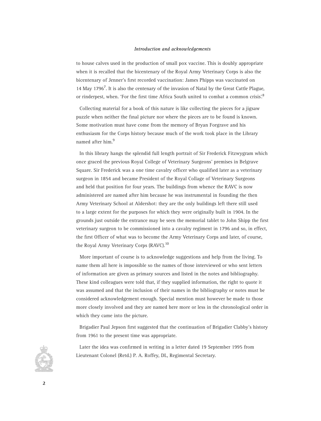to house calves used in the production of small pox vaccine. This is doubly appropriate when it is recalled that the bicentenary of the Royal Army Veterinary Corps is also the bicentenary of Jenner's first recorded vaccination: James Phipps was vaccinated on 14 May 1796<sup>7</sup>. It is also the centenary of the invasion of Natal by the Great Cattle Plague, or rinderpest, when. 'For the first time Africa South united to combat a common crisis'.<sup>8</sup>

Collecting material for a book of this nature is like collecting the pieces for a jigsaw puzzle when neither the final picture nor where the pieces are to be found is known. Some motivation must have come from the memory of Bryan Forgrave and his enthusiasm for the Corps history because much of the work took place in the Library named after him.<sup>9</sup>

In this library hangs the splendid full length portrait of Sir Frederick Fitzwygram which once graced the previous Royal College of Veterinary Surgeons' premises in Belgrave Square. Sir Frederick was a one time cavalry officer who qualified later as a veterinary surgeon in 1854 and became President of the Royal Collage of Veterinary Surgeons and held that position for four years. The buildings from whence the RAVC is now administered are named after him because he was instrumental in founding the then Army Veterinary School at Aldershot: they are the only buildings left there still used to a large extent for the purposes for which they were originally built in 1904. In the grounds just outside the entrance may be seen the memorial tablet to John Shipp the first veterinary surgeon to be commissioned into a cavalry regiment in 1796 and so, in effect, the first Officer of what was to become the Army Veterinary Corps and later, of course, the Royal Army Veterinary Corps (RAVC).<sup>10</sup>

More important of course is to acknowledge suggestions and help from the living. To name them all here is impossible so the names of those interviewed or who sent letters of information are given as primary sources and listed in the notes and bibliography. These kind colleagues were told that, if they supplied information, the right to quote it was assumed and that the inclusion of their names in the bibliography or notes must be considered acknowledgement enough. Special mention must however be made to those more closely involved and they are named here more or less in the chronological order in which they came into the picture.

Brigadier Paul Jepson first suggested that the continuation of Brigadier Clabby's history from 1961 to the present time was appropriate.

Later the idea was confirmed in writing in a letter dated 19 September 1995 from Lieutenant Colonel (Retd.) P. A. Roffey, DL, Regimental Secretary.

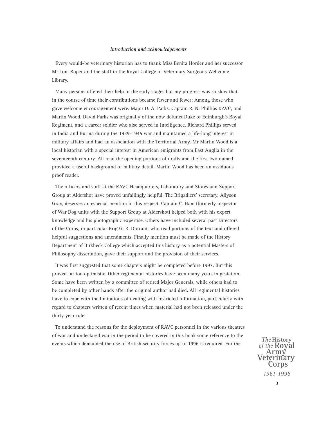Every would-be veterinary historian has to thank Miss Benita Horder and her successor Mr Tom Roper and the staff in the Royal College of Veterinary Surgeons Wellcome Library.

Many persons offered their help in the early stages but my progress was so slow that in the course of time their contributions became fewer and fewer; Among those who gave welcome encouragement were. Major D. A. Parks, Captain R. N. Phillips RAVC, and Martin Wood. David Parks was originally of the now defunct Duke of Edinburgh's Royal Regiment, and a career soldier who also served in Intelligence. Richard Phillips served in India and Burma during the 1939-1945 war and maintained a life-long interest in military affairs and had an association with the Territorial Army. Mr Martin Wood is a local historian with a special interest in American emigrants from East Anglia in the seventeenth century. All read the opening portions of drafts and the first two named provided a useful background of military detail. Martin Wood has been an assiduous proof reader.

The officers and staff at the RAVC Headquarters, Laboratory and Stores and Support Group at Aldershot have proved unfailingly helpful. The Brigadiers' secretary, Allyson Gray, deserves an especial mention in this respect. Captain C. Ham (formerly inspector of War Dog units with the Support Group at Aldershot) helped both with his expert knowledge and his photographic expertise. Others have included several past Directors of the Corps, in particular Brig G. R. Durrant, who read portions of the text and offered helpful suggestions and amendments. Finally mention must be made of the History Department of Birkbeck College which accepted this history as a potential Masters of Philosophy dissertation, gave their support and the provision of their services.

It was first suggested that some chapters might be completed before 1997. But this proved far too optimistic. Other regimental histories have been many years in gestation. Some have been written by a committee of retired Major Generals, while others had to be completed by other hands after the original author had died. All regimental histories have to cope with the limitations of dealing with restricted information, particularly with regard to chapters written of recent times when material had not been released under the thirty year rule.

To understand the reasons for the deployment of RAVC personnel in the various theatres of war and undeclared war in the period to be covered in this book some reference to the events which demanded the use of British security forces up to 1996 is required. For the

*The* History<br>*of the* **Royal de** Army<br>Veterinary<br>Corps *1961–1996*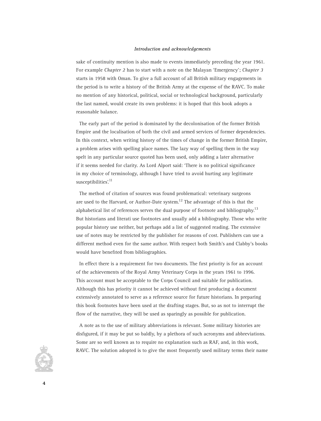sake of continuity mention is also made to events immediately preceding the year 1961. For example *Chapter 2* has to start with a note on the Malayan 'Emergency'; *Chapter 3* starts in 1958 with Oman. To give a full account of all British military engagements in the period is to write a history of the British Army at the expense of the RAVC. To make no mention of any historical, political, social or technological background, particularly the last named, would create its own problems: it is hoped that this book adopts a reasonable balance.

The early part of the period is dominated by the decolonisation of the former British Empire and the localisation of both the civil and armed services of former dependencies. In this context, when writing history of the times of change in the former British Empire, a problem arises with spelling place names. The lazy way of spelling them in the way spelt in any particular source quoted has been used, only adding a later alternative if it seems needed for clarity. As Lord Alport said: 'There is no political significance in my choice of terminology, although I have tried to avoid hurting any legitimate susceptibilities'.<sup>11</sup>

The method of citation of sources was found problematical: veterinary surgeons are used to the Harvard, or Author-Date system.<sup>12</sup> The advantage of this is that the alphabetical list of references serves the dual purpose of footnote and bibliography.<sup>13</sup> But historians and literati use footnotes and usually add a bibliography. Those who write popular history use neither, but perhaps add a list of suggested reading. The extensive use of notes may be restricted by the publisher for reasons of cost. Publishers can use a different method even for the same author. With respect both Smith's and Clabby's books would have benefited from bibliographies.

In effect there is a requirement for two documents. The first priority is for an account of the achievements of the Royal Army Veterinary Corps in the years 1961 to 1996. This account must be acceptable to the Corps Council and suitable for publication. Although this has priority it cannot be achieved without first producing a document extensively annotated to serve as a reference source for future historians. In preparing this book footnotes have been used at the drafting stages. But, so as not to interrupt the flow of the narrative, they will be used as sparingly as possible for publication.

A note as to the use of military abbreviations is relevant. Some military histories are disfigured, if it may be put so baldly, by a plethora of such acronyms and abbreviations. Some are so well known as to require no explanation such as RAF, and, in this work, RAVC. The solution adopted is to give the most frequently used military terms their name

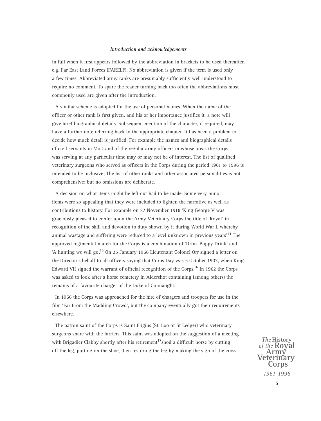in full when it first appears followed by the abbreviation in brackets to be used thereafter, e.g. Far East Land Forces (FARELF). No abbreviation is given if the term is used only a few times. Abbreviated army ranks are presumably sufficiently well understood to require no comment. To spare the reader turning back too often the abbreviations most commonly used are given after the introduction.

A similar scheme is adopted for the use of personal names. When the name of the officer or other rank is first given, and his or her importance justifies it, a note will give brief biographical details. Subsequent mention of the character, if required, may have a further note referring back to the appropriate chapter. It has been a problem to decide how much detail is justified. For example the names and biographical details of civil servants in MoD and of the regular army officers in whose areas the Corps was serving at any particular time may or may not be of interest. The list of qualified veterinary surgeons who served as officers in the Corps during the period 1961 to 1996 is intended to be inclusive; The list of other ranks and other associated personalities is not comprehensive; but no omissions are deliberate.

A decision on what items might be left out had to be made. Some very minor items were so appealing that they were included to lighten the narrative as well as contributions to history. For example on 27 November 1918 'King George V was graciously pleased to confer upon the Army Veterinary Corps the title of 'Royal' in recognition of the skill and devotion to duty shown by it during World War I, whereby animal wastage and suffering were reduced to a level unknown in previous years.<sup>14</sup> The approved regimental march for the Corps is a combination of 'Drink Puppy Drink' and 'A hunting we will go'.15 On 25 January 1966 Lieutenant Colonel Orr signed a letter on the Director's behalf to all officers saying that Corps Day was 5 October 1903, when King Edward VII signed the warrant of official recognition of the Corps.16 In 1962 the Corps was asked to look after a horse cemetery in Aldershot containing (among others) the remains of a favourite charger of the Duke of Connaught.

In 1966 the Corps was approached for the hire of chargers and troopers for use in the film 'Far From the Madding Crowd', but the company eventually got their requirements elsewhere.

The patron saint of the Corps is Saint Eligius (St. Loo or St Ledger) who veterinary surgeons share with the farriers. This saint was adopted on the suggestion of a meeting with Brigadier Clabby shortly after his retirement<sup>17</sup>shod a difficult horse by cutting off the leg, putting on the shoe, then restoring the leg by making the sign of the cross.

*The* History<br>*of the* **Royal** *of the* **Royal Army Veterinary Corps** *1961–1996*